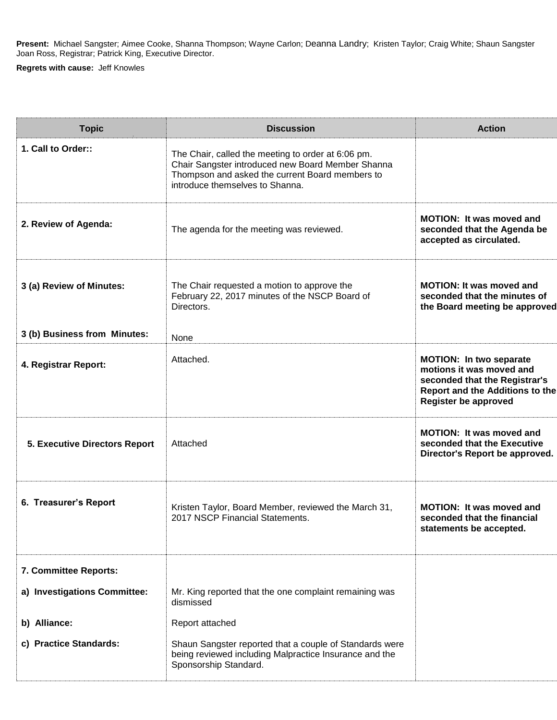**Present:** Michael Sangster; Aimee Cooke, Shanna Thompson; Wayne Carlon; Deanna Landry; Kristen Taylor; Craig White; Shaun Sangster Joan Ross, Registrar; Patrick King, Executive Director.

**Regrets with cause:** Jeff Knowles

| <b>Topic</b>                         | <b>Discussion</b>                                                                                                                                                                             | <b>Action</b>                                                                                                                                                        |
|--------------------------------------|-----------------------------------------------------------------------------------------------------------------------------------------------------------------------------------------------|----------------------------------------------------------------------------------------------------------------------------------------------------------------------|
| 1. Call to Order::                   | The Chair, called the meeting to order at 6:06 pm.<br>Chair Sangster introduced new Board Member Shanna<br>Thompson and asked the current Board members to<br>introduce themselves to Shanna. |                                                                                                                                                                      |
| 2. Review of Agenda:                 | The agenda for the meeting was reviewed.                                                                                                                                                      | <b>MOTION:</b> It was moved and<br>seconded that the Agenda be<br>accepted as circulated.                                                                            |
| 3 (a) Review of Minutes:             | The Chair requested a motion to approve the<br>February 22, 2017 minutes of the NSCP Board of<br>Directors.                                                                                   | <b>MOTION: It was moved and</b><br>seconded that the minutes of<br>the Board meeting be approved                                                                     |
| 3 (b) Business from Minutes:         | None                                                                                                                                                                                          |                                                                                                                                                                      |
| 4. Registrar Report:                 | Attached.                                                                                                                                                                                     | <b>MOTION: In two separate</b><br>motions it was moved and<br>seconded that the Registrar's<br><b>Report and the Additions to the</b><br><b>Register be approved</b> |
| <b>5. Executive Directors Report</b> | Attached                                                                                                                                                                                      | <b>MOTION: It was moved and</b><br>seconded that the Executive<br>Director's Report be approved.                                                                     |
| 6. Treasurer's Report                | Kristen Taylor, Board Member, reviewed the March 31,<br>2017 NSCP Financial Statements.                                                                                                       | <b>MOTION: It was moved and</b><br>seconded that the financial<br>statements be accepted.                                                                            |
| 7. Committee Reports:                |                                                                                                                                                                                               |                                                                                                                                                                      |
| a) Investigations Committee:         | Mr. King reported that the one complaint remaining was<br>dismissed                                                                                                                           |                                                                                                                                                                      |
| b) Alliance:                         | Report attached                                                                                                                                                                               |                                                                                                                                                                      |
| c) Practice Standards:               | Shaun Sangster reported that a couple of Standards were<br>being reviewed including Malpractice Insurance and the<br>Sponsorship Standard.                                                    |                                                                                                                                                                      |
|                                      |                                                                                                                                                                                               |                                                                                                                                                                      |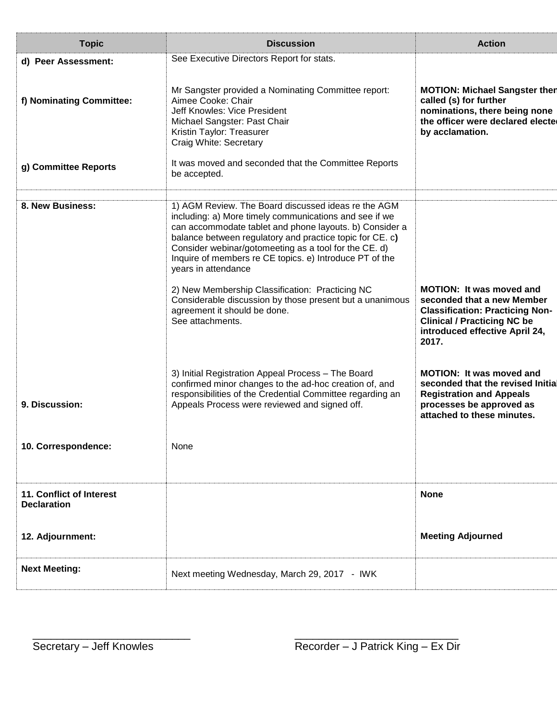| <b>Topic</b>                                   | <b>Discussion</b>                                                                                                                                                                                                                                                                                                                                                               | <b>Action</b>                                                                                                                                                                            |
|------------------------------------------------|---------------------------------------------------------------------------------------------------------------------------------------------------------------------------------------------------------------------------------------------------------------------------------------------------------------------------------------------------------------------------------|------------------------------------------------------------------------------------------------------------------------------------------------------------------------------------------|
| d) Peer Assessment:                            | See Executive Directors Report for stats.                                                                                                                                                                                                                                                                                                                                       |                                                                                                                                                                                          |
| f) Nominating Committee:                       | Mr Sangster provided a Nominating Committee report:<br>Aimee Cooke: Chair<br>Jeff Knowles: Vice President<br>Michael Sangster: Past Chair<br>Kristin Taylor: Treasurer<br>Craig White: Secretary                                                                                                                                                                                | <b>MOTION: Michael Sangster then</b><br>called (s) for further<br>nominations, there being none<br>the officer were declared elected<br>by acclamation.                                  |
| g) Committee Reports                           | It was moved and seconded that the Committee Reports<br>be accepted.                                                                                                                                                                                                                                                                                                            |                                                                                                                                                                                          |
| 8. New Business:                               | 1) AGM Review. The Board discussed ideas re the AGM<br>including: a) More timely communications and see if we<br>can accommodate tablet and phone layouts. b) Consider a<br>balance between regulatory and practice topic for CE. c)<br>Consider webinar/gotomeeting as a tool for the CE. d)<br>Inquire of members re CE topics. e) Introduce PT of the<br>years in attendance |                                                                                                                                                                                          |
|                                                | 2) New Membership Classification: Practicing NC<br>Considerable discussion by those present but a unanimous<br>agreement it should be done.<br>See attachments.                                                                                                                                                                                                                 | <b>MOTION: It was moved and</b><br>seconded that a new Member<br><b>Classification: Practicing Non-</b><br><b>Clinical / Practicing NC be</b><br>introduced effective April 24,<br>2017. |
| 9. Discussion:                                 | 3) Initial Registration Appeal Process - The Board<br>confirmed minor changes to the ad-hoc creation of, and<br>responsibilities of the Credential Committee regarding an<br>Appeals Process were reviewed and signed off.                                                                                                                                                      | <b>MOTION: It was moved and</b><br>seconded that the revised Initial<br><b>Registration and Appeals</b><br>processes be approved as<br>attached to these minutes.                        |
| 10. Correspondence:                            | None                                                                                                                                                                                                                                                                                                                                                                            |                                                                                                                                                                                          |
| 11. Conflict of Interest<br><b>Declaration</b> |                                                                                                                                                                                                                                                                                                                                                                                 | <b>None</b>                                                                                                                                                                              |
| 12. Adjournment:                               |                                                                                                                                                                                                                                                                                                                                                                                 | <b>Meeting Adjourned</b>                                                                                                                                                                 |
| <b>Next Meeting:</b>                           | Next meeting Wednesday, March 29, 2017 - IWK                                                                                                                                                                                                                                                                                                                                    |                                                                                                                                                                                          |
|                                                |                                                                                                                                                                                                                                                                                                                                                                                 |                                                                                                                                                                                          |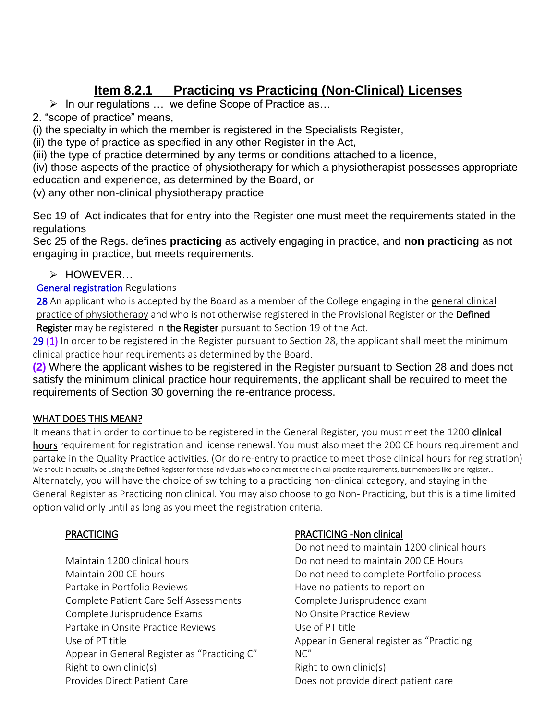# **Item 8.2.1 Practicing vs Practicing (Non-Clinical) Licenses**

 $\triangleright$  In our regulations ... we define Scope of Practice as...

2. "scope of practice" means,

(i) the specialty in which the member is registered in the Specialists Register,

(ii) the type of practice as specified in any other Register in the Act,

(iii) the type of practice determined by any terms or conditions attached to a licence,

(iv) those aspects of the practice of physiotherapy for which a physiotherapist possesses appropriate education and experience, as determined by the Board, or

(v) any other non-clinical physiotherapy practice

Sec 19 of Act indicates that for entry into the Register one must meet the requirements stated in the regulations

Sec 25 of the Regs. defines **practicing** as actively engaging in practice, and **non practicing** as not engaging in practice, but meets requirements.

## > HOWEVER...

**General registration Regulations** 

28 An applicant who is accepted by the Board as a member of the College engaging in the general clinical practice of physiotherapy and who is not otherwise registered in the Provisional Register or the Defined Register may be registered in the Register pursuant to Section 19 of the Act.

29 (1) In order to be registered in the Register pursuant to Section 28, the applicant shall meet the minimum clinical practice hour requirements as determined by the Board.

**(2)** Where the applicant wishes to be registered in the Register pursuant to Section 28 and does not satisfy the minimum clinical practice hour requirements, the applicant shall be required to meet the requirements of Section 30 governing the re-entrance process.

## WHAT DOES THIS MEAN?

It means that in order to continue to be registered in the General Register, you must meet the 1200 *clinical* hours requirement for registration and license renewal. You must also meet the 200 CE hours requirement and partake in the Quality Practice activities. (Or do re-entry to practice to meet those clinical hours for registration) We should in actuality be using the Defined Register for those individuals who do not meet the clinical practice requirements, but members like one register… Alternately, you will have the choice of switching to a practicing non-clinical category, and staying in the General Register as Practicing non clinical. You may also choose to go Non- Practicing, but this is a time limited option valid only until as long as you meet the registration criteria.

## PRACTICING

Maintain 1200 clinical hours Maintain 200 CE hours Partake in Portfolio Reviews Complete Patient Care Self Assessments Complete Jurisprudence Exams Partake in Onsite Practice Reviews Use of PT title Appear in General Register as "Practicing C" Right to own clinic(s) Provides Direct Patient Care

## PRACTICING -Non clinical

Do not need to maintain 1200 clinical hours Do not need to maintain 200 CE Hours Do not need to complete Portfolio process Have no patients to report on Complete Jurisprudence exam No Onsite Practice Review Use of PT title Appear in General register as "Practicing NC" Right to own clinic(s) Does not provide direct patient care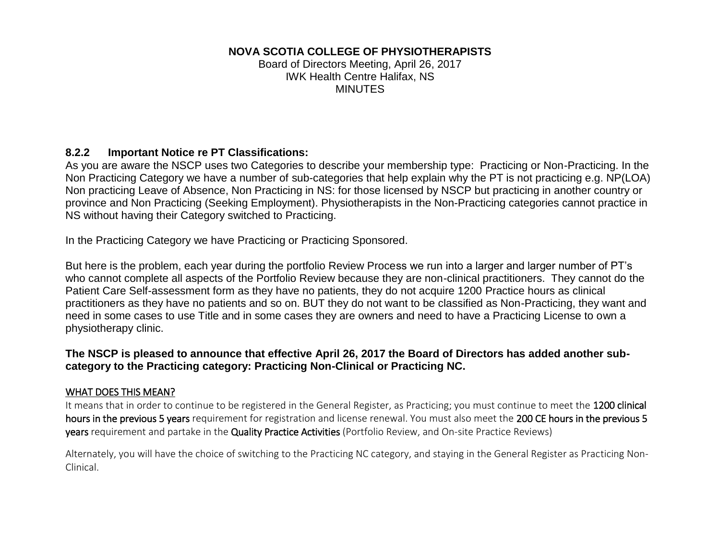## **NOVA SCOTIA COLLEGE OF PHYSIOTHERAPISTS**

Board of Directors Meeting, April 26, 2017 IWK Health Centre Halifax, NS **MINUTES** 

## **8.2.2 Important Notice re PT Classifications:**

As you are aware the NSCP uses two Categories to describe your membership type: Practicing or Non-Practicing. In the Non Practicing Category we have a number of sub-categories that help explain why the PT is not practicing e.g. NP(LOA) Non practicing Leave of Absence, Non Practicing in NS: for those licensed by NSCP but practicing in another country or province and Non Practicing (Seeking Employment). Physiotherapists in the Non-Practicing categories cannot practice in NS without having their Category switched to Practicing.

In the Practicing Category we have Practicing or Practicing Sponsored.

But here is the problem, each year during the portfolio Review Process we run into a larger and larger number of PT's who cannot complete all aspects of the Portfolio Review because they are non-clinical practitioners. They cannot do the Patient Care Self-assessment form as they have no patients, they do not acquire 1200 Practice hours as clinical practitioners as they have no patients and so on. BUT they do not want to be classified as Non-Practicing, they want and need in some cases to use Title and in some cases they are owners and need to have a Practicing License to own a physiotherapy clinic.

## **The NSCP is pleased to announce that effective April 26, 2017 the Board of Directors has added another subcategory to the Practicing category: Practicing Non-Clinical or Practicing NC.**

### WHAT DOES THIS MEAN?

It means that in order to continue to be registered in the General Register, as Practicing; you must continue to meet the 1200 clinical hours in the previous 5 years requirement for registration and license renewal. You must also meet the 200 CE hours in the previous 5 years requirement and partake in the Quality Practice Activities (Portfolio Review, and On-site Practice Reviews)

Alternately, you will have the choice of switching to the Practicing NC category, and staying in the General Register as Practicing Non-Clinical.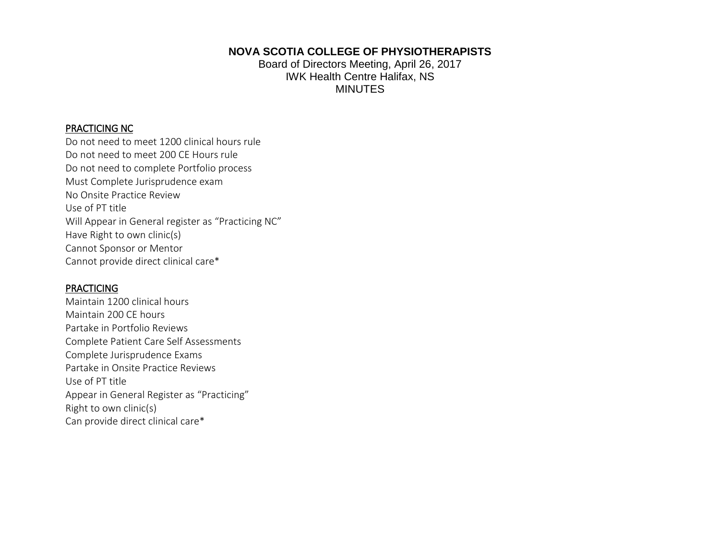**NOVA SCOTIA COLLEGE OF PHYSIOTHERAPISTS** Board of Directors Meeting, April 26, 2017

IWK Health Centre Halifax, NS **MINUTES** 

#### PRACTICING NC

Do not need to meet 1200 clinical hours rule Do not need to meet 200 CE Hours rule Do not need to complete Portfolio process Must Complete Jurisprudence exam No Onsite Practice Review Use of PT title Will Appear in General register as "Practicing NC" Have Right to own clinic(s) Cannot Sponsor or Mentor Cannot provide direct clinical care\*

#### PRACTICING

Maintain 1200 clinical hours Maintain 200 CE hours Partake in Portfolio Reviews Complete Patient Care Self Assessments Complete Jurisprudence Exams Partake in Onsite Practice Reviews Use of PT title Appear in General Register as "Practicing" Right to own clinic(s) Can provide direct clinical care\*